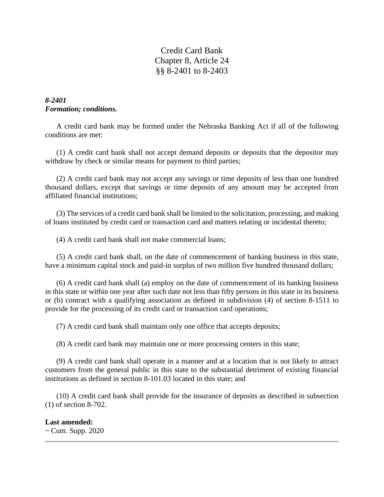Credit Card Bank Chapter 8, Article 24 §§ 8-2401 to 8-2403

# *8-2401 Formation; conditions.*

A credit card bank may be formed under the Nebraska Banking Act if all of the following conditions are met:

(1) A credit card bank shall not accept demand deposits or deposits that the depositor may withdraw by check or similar means for payment to third parties;

(2) A credit card bank may not accept any savings or time deposits of less than one hundred thousand dollars, except that savings or time deposits of any amount may be accepted from affiliated financial institutions;

(3) The services of a credit card bank shall be limited to the solicitation, processing, and making of loans instituted by credit card or transaction card and matters relating or incidental thereto;

(4) A credit card bank shall not make commercial loans;

(5) A credit card bank shall, on the date of commencement of banking business in this state, have a minimum capital stock and paid-in surplus of two million five hundred thousand dollars;

(6) A credit card bank shall (a) employ on the date of commencement of its banking business in this state or within one year after such date not less than fifty persons in this state in its business or (b) contract with a qualifying association as defined in subdivision (4) of section 8-1511 to provide for the processing of its credit card or transaction card operations;

(7) A credit card bank shall maintain only one office that accepts deposits;

(8) A credit card bank may maintain one or more processing centers in this state;

(9) A credit card bank shall operate in a manner and at a location that is not likely to attract customers from the general public in this state to the substantial detriment of existing financial institutions as defined in section 8-101.03 located in this state; and

(10) A credit card bank shall provide for the insurance of deposits as described in subsection (1) of section 8-702.

#### **Last amended:**

~ Cum. Supp. 2020